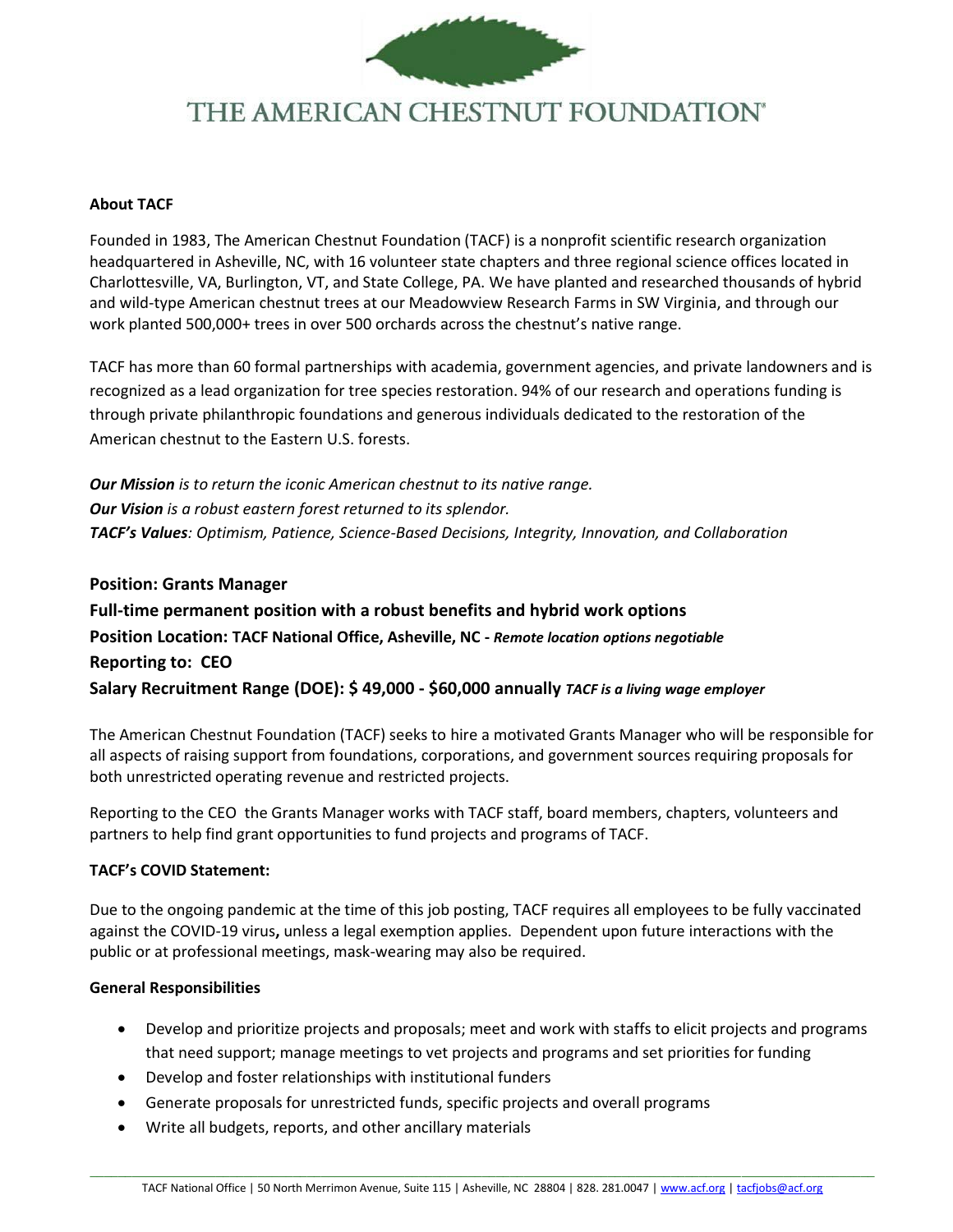

# THE AMERICAN CHESTNUT FOUNDATION®

### **About TACF**

Founded in 1983, The American Chestnut Foundation (TACF) is a nonprofit scientific research organization headquartered in Asheville, NC, with 16 volunteer state chapters and three regional science offices located in Charlottesville, VA, Burlington, VT, and State College, PA. We have planted and researched thousands of hybrid and wild-type American chestnut trees at our Meadowview Research Farms in SW Virginia, and through our work planted 500,000+ trees in over 500 orchards across the chestnut's native range.

TACF has more than 60 formal partnerships with academia, government agencies, and private landowners and is recognized as a lead organization for tree species restoration. 94% of our research and operations funding is through private philanthropic foundations and generous individuals dedicated to the restoration of the American chestnut to the Eastern U.S. forests.

*Our Mission is to return the iconic American chestnut to its native range. Our Vision is a robust eastern forest returned to its splendor. TACF's Values: Optimism, Patience, Science-Based Decisions, Integrity, Innovation, and Collaboration*

**Position: Grants Manager Full-time permanent position with a robust benefits and hybrid work options Position Location: TACF National Office, Asheville, NC -** *Remote location options negotiable* **Reporting to: CEO Salary Recruitment Range (DOE): \$ 49,000 - \$60,000 annually** *TACF is a living wage employer*

The American Chestnut Foundation (TACF) seeks to hire a motivated Grants Manager who will be responsible for all aspects of raising support from foundations, corporations, and government sources requiring proposals for both unrestricted operating revenue and restricted projects.

Reporting to the CEO the Grants Manager works with TACF staff, board members, chapters, volunteers and partners to help find grant opportunities to fund projects and programs of TACF.

# **TACF's COVID Statement:**

Due to the ongoing pandemic at the time of this job posting, TACF requires all employees to be fully vaccinated against the COVID-19 virus**,** unless a legal exemption applies. Dependent upon future interactions with the public or at professional meetings, mask-wearing may also be required.

# **General Responsibilities**

- Develop and prioritize projects and proposals; meet and work with staffs to elicit projects and programs that need support; manage meetings to vet projects and programs and set priorities for funding
- Develop and foster relationships with institutional funders
- Generate proposals for unrestricted funds, specific projects and overall programs
- Write all budgets, reports, and other ancillary materials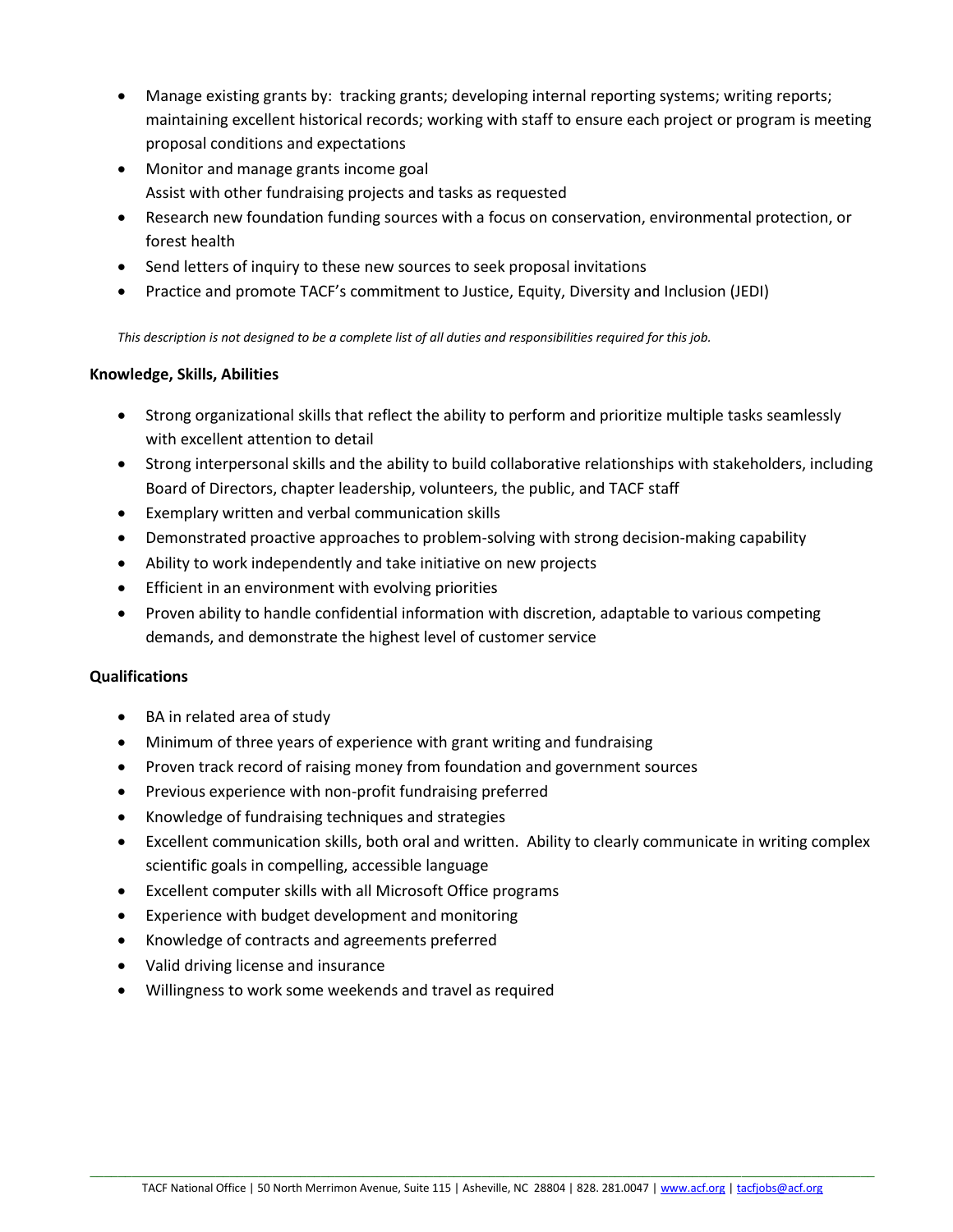- Manage existing grants by: tracking grants; developing internal reporting systems; writing reports; maintaining excellent historical records; working with staff to ensure each project or program is meeting proposal conditions and expectations
- Monitor and manage grants income goal Assist with other fundraising projects and tasks as requested
- Research new foundation funding sources with a focus on conservation, environmental protection, or forest health
- Send letters of inquiry to these new sources to seek proposal invitations
- Practice and promote TACF's commitment to Justice, Equity, Diversity and Inclusion (JEDI)

*This description is not designed to be a complete list of all duties and responsibilities required for this job.*

# **Knowledge, Skills, Abilities**

- Strong organizational skills that reflect the ability to perform and prioritize multiple tasks seamlessly with excellent attention to detail
- Strong interpersonal skills and the ability to build collaborative relationships with stakeholders, including Board of Directors, chapter leadership, volunteers, the public, and TACF staff
- Exemplary written and verbal communication skills
- Demonstrated proactive approaches to problem-solving with strong decision-making capability
- Ability to work independently and take initiative on new projects
- Efficient in an environment with evolving priorities
- Proven ability to handle confidential information with discretion, adaptable to various competing demands, and demonstrate the highest level of customer service

# **Qualifications**

- BA in related area of study
- Minimum of three years of experience with grant writing and fundraising
- Proven track record of raising money from foundation and government sources
- Previous experience with non-profit fundraising preferred
- Knowledge of fundraising techniques and strategies
- Excellent communication skills, both oral and written. Ability to clearly communicate in writing complex scientific goals in compelling, accessible language
- Excellent computer skills with all Microsoft Office programs
- Experience with budget development and monitoring
- Knowledge of contracts and agreements preferred
- Valid driving license and insurance
- Willingness to work some weekends and travel as required